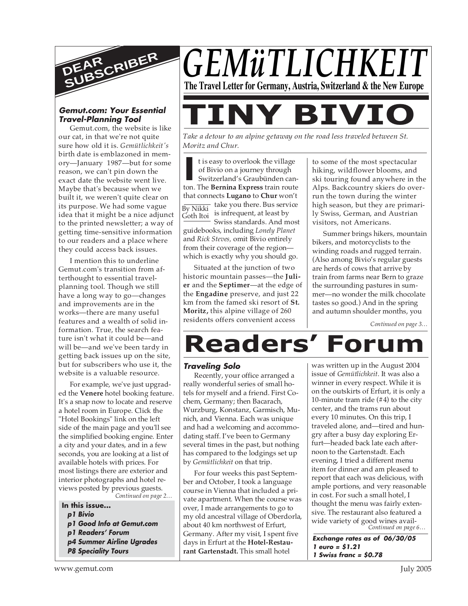

#### **Gemut.com: Your Essential Travel-Planning Tool**

Gemut.com, the website is like our cat, in that we're not quite sure how old it is. *Gemütlichkeit's* birth date is emblazoned in memory—January 1987—but for some reason, we can't pin down the exact date the website went live. Maybe that's because when we built it, we weren't quite clear on its purpose. We had some vague idea that it might be a nice adjunct to the printed newsletter; a way of getting time-sensitive information to our readers and a place where they could access back issues.

I mention this to underline Gemut.com's transition from afterthought to essential travelplanning tool. Though we still have a long way to go—changes and improvements are in the works—there are many useful features and a wealth of solid information. True, the search feature isn't what it could be—and will be—and we've been tardy in getting back issues up on the site, but for subscribers who use it, the website is a valuable resource.

For example, we've just upgraded the **Venere** hotel booking feature. It's a snap now to locate and reserve a hotel room in Europe. Click the "Hotel Bookings" link on the left side of the main page and you'll see the simplified booking engine. Enter a city and your dates, and in a few seconds, you are looking at a list of available hotels with prices. For most listings there are exterior and interior photographs and hotel reviews posted by previous guests.

*Continued on page 2…*

**In this issue... p1 Bivio p1 Good Info at Gemut.com p1 Readers' Forum p4 Summer Airline Ugrades P8 Speciality Tours**



*Take a detour to an alpine getaway on the road less traveled between St. Moritz and Chur.*

It is easy to overlook the village<br>
of Bivio on a journey through<br>
Switzerland's Graubünden canton. The **Bernina Express** train route  $\overline{\text{By Nikki}}$  take you there. Bus service Goth Itoi t is easy to overlook the village of Bivio on a journey through Switzerland's Graubünden canthat connects **Lugano** to **Chur** won't is infrequent, at least by Swiss standards. And most

guidebooks, including *Lonely Planet* and *Rick Steves,* omit Bivio entirely from their coverage of the region which is exactly why you should go.

Situated at the junction of two historic mountain passes—the **Julier** and the **Septimer**—at the edge of the **Engadine** preserve, and just 22 km from the famed ski resort of **St. Moritz,** this alpine village of 260 residents offers convenient access

to some of the most spectacular hiking, wildflower blooms, and ski touring found anywhere in the Alps. Backcountry skiers do overrun the town during the winter high season, but they are primarily Swiss, German, and Austrian visitors, not Americans.

Summer brings hikers, mountain bikers, and motorcyclists to the winding roads and rugged terrain. (Also among Bivio's regular guests are herds of cows that arrive by train from farms near Bern to graze the surrounding pastures in summer—no wonder the milk chocolate tastes so good.) And in the spring and autumn shoulder months, you

*Continued on page 3…*

# **Readers' Forum**

#### **Traveling Solo**

Recently, your office arranged a really wonderful series of small hotels for myself and a friend. First Cochem, Germany; then Bacarach, Wurzburg, Konstanz, Garmisch, Munich, and Vienna. Each was unique and had a welcoming and accommodating staff. I've been to Germany several times in the past, but nothing has compared to the lodgings set up by *Gemütlichkeit* on that trip.

For four weeks this past September and October, I took a language course in Vienna that included a private apartment. When the course was over, I made arrangements to go to my old ancestral village of Oberdorla, about 40 km northwest of Erfurt, Germany. After my visit, I spent five days in Erfurt at the **Hotel-Restaurant Gartenstadt.** This small hotel

*Continued on page 6…* was written up in the August 2004 issue of *Gemütlichkeit*. It was also a winner in every respect. While it is on the outskirts of Erfurt, it is only a 10-minute tram ride (#4) to the city center, and the trams run about every 10 minutes. On this trip, I traveled alone, and—tired and hungry after a busy day exploring Erfurt—headed back late each afternoon to the Gartenstadt. Each evening, I tried a different menu item for dinner and am pleased to report that each was delicious, with ample portions, and very reasonable in cost. For such a small hotel, I thought the menu was fairly extensive. The restaurant also featured a wide variety of good wines avail-

**Exchange rates as of 06/30/05 1 euro = \$1.21 1 Swiss franc = \$0.78**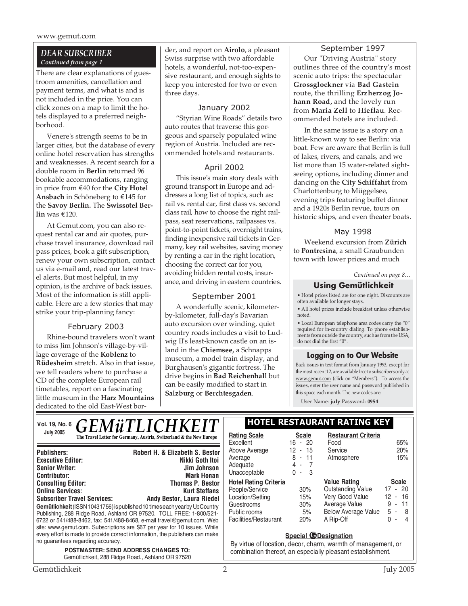www.gemut.com

#### *DEAR SUBSCRIBER Continued from page 1*

There are clear explanations of guestroom amenities, cancellation and payment terms, and what is and is not included in the price. You can click zones on a map to limit the hotels displayed to a preferred neighborhood.

Venere's strength seems to be in larger cities, but the database of every online hotel reservation has strengths and weaknesses. A recent search for a double room in **Berlin** returned 96 bookable accommodations, ranging in price from €40 for the **City Hotel Ansbach** in Schöneberg to €145 for the **Savoy Berlin.** The **Swissotel Berlin** was €120.

At Gemut.com, you can also request rental car and air quotes, purchase travel insurance, download rail pass prices, book a gift subscription, renew your own subscription, contact us via e-mail and, read our latest travel alerts. But most helpful, in my opinion, is the archive of back issues. Most of the information is still applicable. Here are a few stories that may strike your trip-planning fancy:

#### February 2003

Rhine-bound travelers won't want to miss Jim Johnson's village-by-village coverage of the **Koblenz** to **Rüdesheim** stretch. Also in that issue, we tell readers where to purchase a CD of the complete European rail timetables, report on a fascinating little museum in the **Harz Mountains** dedicated to the old East-West border, and report on **Airolo**, a pleasant Swiss surprise with two affordable hotels, a wonderful, not-too-expensive restaurant, and enough sights to keep you interested for two or even three days.

#### January 2002

"Styrian Wine Roads" details two auto routes that traverse this gorgeous and sparsely populated wine region of Austria. Included are recommended hotels and restaurants.

#### April 2002

This issue's main story deals with ground transport in Europe and addresses a long list of topics, such as: rail vs. rental car, first class vs. second class rail, how to choose the right railpass, seat reservations, railpasses vs. point-to-point tickets, overnight trains, finding inexpensive rail tickets in Germany, key rail websites, saving money by renting a car in the right location, choosing the correct car for you, avoiding hidden rental costs, insurance, and driving in eastern countries.

#### September 2001

A wonderfully scenic, kilometerby-kilometer, full-day's Bavarian auto excursion over winding, quiet country roads includes a visit to Ludwig II's least-known castle on an island in the **Chiemsee,** a Schnapps museum, a model train display, and Burghausen's gigantic fortress. The drive begins in **Bad Reichenhall** but can be easily modified to start in **Salzburg** or **Berchtesgaden**.

#### September 1997

Our "Driving Austria" story outlines three of the country's most scenic auto trips: the spectacular **Grossglockner** via **Bad Gastein** route, the thrilling **Erzherzog Johann Road,** and the lovely run from **Maria Zell** to **Hieflau**. Recommended hotels are included.

In the same issue is a story on a little-known way to see Berlin: via boat. Few are aware that Berlin is full of lakes, rivers, and canals, and we list more than 15 water-related sightseeing options, including dinner and dancing on the **City Schiffahrt** from Charlottenburg to Müggelsee, evening trips featuring buffet dinner and a 1920s Berlin revue, tours on historic ships, and even theater boats.

#### May 1998

Weekend excursion from **Zürich** to **Pontresina**, a small Graubunden town with lower prices and much

#### *Continued on page 8…*

#### **Using Gemütlichkeit**

• Hotel prices listed are for one night. Discounts are often available for longer stays.

• All hotel prices include breakfast unless otherwise noted.

• Local European telephone area codes carry the "0" required for in-country dialing. To phone establishments from outside the country, such as from the USA, do not dial the first "0".

#### **Logging on to Our Website**

Back issues in text format from January 1993, except for the most recent 12, are available free to subscribers only at www.gemut.com (click on "Members"). To access the issues, enter the user name and password published in this space each month. The new codes are:

User Name: **july** Password: **0954**

| Vol. 19, No. 6                                                               | <b>GEMÜTLICHKEIT</b>                                                 | <b>HOTEL RESTAU</b>              |                           |
|------------------------------------------------------------------------------|----------------------------------------------------------------------|----------------------------------|---------------------------|
| <b>July 2005</b>                                                             | The Travel Letter for Germany, Austria, Switzerland & the New Europe | <b>Rating Scale</b><br>Excellent | <b>Scale</b><br>$16 - 20$ |
| <b>Publishers:</b>                                                           | Robert H. & Elizabeth S. Bestor                                      | Above Average                    | 12 - 15                   |
| <b>Executive Editor:</b>                                                     | Nikki Goth Itoi                                                      | Average                          | $-1$ <sup>*</sup>         |
| <b>Senior Writer:</b>                                                        | <b>Jim Johnson</b>                                                   | Adequate                         | 4-                        |
| <b>Contributor:</b>                                                          | <b>Mark Honan</b>                                                    | Unacceptable                     | $0 -$                     |
| <b>Consulting Editor:</b>                                                    | <b>Thomas P. Bestor</b>                                              | <b>Hotel Rating Criteria</b>     |                           |
| <b>Online Services:</b>                                                      | <b>Kurt Steffans</b>                                                 | People/Service                   | 30%                       |
| <b>Subscriber Travel Services:</b>                                           | <b>Andy Bestor, Laura Riedel</b>                                     | Location/Setting                 | 15%                       |
| Gemütlichkeit (ISSN 10431756) is published 10 times each vear by UpCountry   |                                                                      | Guestrooms                       | 30%                       |
| Publishing, 288 Ridge Road, Ashland OR 97520. TOLL FREE: 1-800/521-          |                                                                      | Public rooms                     | 5%                        |
| 6722 or 541/488-8462, fax: 541/488-8468, e-mail travel@gemut.com. Web        |                                                                      | Facilities/Restaurant            | 20%                       |
| site: www.gemut.com. Subscriptions are \$67 per year for 10 issues. While    |                                                                      |                                  |                           |
| every effort is made to provide correct information, the publishers can make |                                                                      |                                  | Special <b>(</b>          |
| no guarantees regarding accuracy.                                            |                                                                      | Durighto of location dependent   |                           |

*POSTMASTER: SEND ADDRESS CHANGES TO:* Gemütlichkeit, 288 Ridge Road., Ashland OR 97520

#### **Vol. 19, No. 6 HOTEL RESTAURANT RATING KEY**

| <b>Rating Scale</b><br>Excellent<br>Above Average<br>Average<br>Adequate<br>Unacceptable                                  | <b>Scale</b><br>$16 - 20$<br>12 - 15<br>8 - 11<br>4 -<br>$\overline{7}$<br>$\mathbf{3}$<br>$\sim$ | <b>Restaurant Criteria</b><br>Food<br>Service<br>Atmosphere                                                                    | 65%<br>20%<br>15%                                                                                   |
|---------------------------------------------------------------------------------------------------------------------------|---------------------------------------------------------------------------------------------------|--------------------------------------------------------------------------------------------------------------------------------|-----------------------------------------------------------------------------------------------------|
| <b>Hotel Rating Criteria</b><br>People/Service<br>Location/Setting<br>Guestrooms<br>Public rooms<br>Facilities/Restaurant | 30%<br>15%<br>30%<br>5%<br>20%                                                                    | <b>Value Rating</b><br><b>Outstanding Value</b><br>Very Good Value<br>Average Value<br><b>Below Average Value</b><br>A Rip-Off | <b>Scale</b><br>$-20$<br>17<br>$12 -$<br>16<br>9<br>11<br>$\overline{\phantom{a}}$<br>5 -<br>8<br>4 |

#### **Special @Designation**

By virtue of location, decor, charm, warmth of management, or combination thereof, an especially pleasant establishment.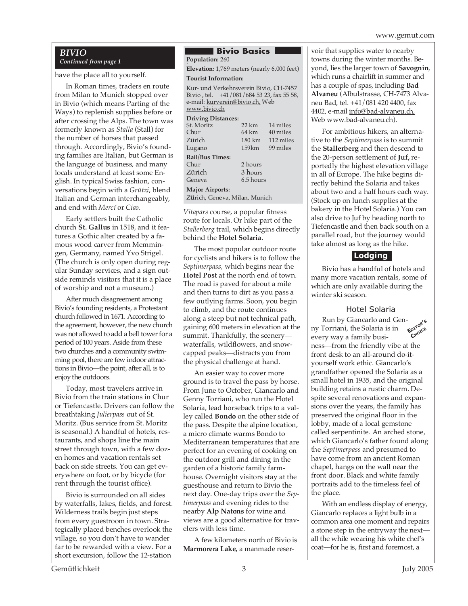#### *BIVIO Continued from page 1*

have the place all to yourself.

In Roman times, traders en route from Milan to Munich stopped over in Bivio (which means Parting of the Ways) to replenish supplies before or after crossing the Alps. The town was formerly known as *Stalla* (Stall) for the number of horses that passed through. Accordingly, Bivio's founding families are Italian, but German is the language of business, and many locals understand at least some English. In typical Swiss fashion, conversations begin with a *Grützi*, blend Italian and German interchangeably, and end with *Mercí* or *Ciao*.

Early settlers built the Catholic church **St. Gallus** in 1518, and it features a Gothic alter created by a famous wood carver from Memmingen, Germany, named Yvo Strigel. (The church is only open during regular Sunday services, and a sign outside reminds visitors that it is a place of worship and not a museum.)

After much disagreement among Bivio's founding residents, a Protestant church followed in 1671. According to the agreement, however, the new church was not allowed to add a bell tower for a period of 100 years. Aside from these two churches and a community swimming pool, there are few indoor attractions in Bivio—the point, after all, is to enjoy the outdoors.

Today, most travelers arrive in Bivio from the train stations in Chur or Tiefencastle. Drivers can follow the breathtaking *Julierpass* out of St. Moritz. (Bus service from St. Moritz is seasonal.) A handful of hotels, restaurants, and shops line the main street through town, with a few dozen homes and vacation rentals set back on side streets. You can get everywhere on foot, or by bicycle (for rent through the tourist office).

Bivio is surrounded on all sides by waterfalls, lakes, fields, and forest. Wilderness trails begin just steps from every guestroom in town. Strategically placed benches overlook the village, so you don't have to wander far to be rewarded with a view. For a short excursion, follow the 12-station

#### **Bivio Basics** . **Population:** 260

**Elevation:** 1,769 meters (nearly 6,000 feet)

#### **Tourist Information:**

Kur- und Verkehrsverein Bivio, CH-7457 Bivio , tel. +41/081/684 53 23, fax 55 58, e-mail: kurverein@bivio.ch, Web www.bivio.ch

#### **Driving Distances:**

|                        | St. Moritz                 | 22 km     | 14 miles  |
|------------------------|----------------------------|-----------|-----------|
|                        | Chur                       | 64 km     | 40 miles  |
|                        | Zürich                     | 180 km    | 112 miles |
|                        | Lugano                     | 159km     | 99 miles  |
|                        | <b>Rail/Bus Times:</b>     |           |           |
|                        | Chur                       | 2 hours   |           |
|                        | Zürich                     | 3 hours   |           |
|                        | Geneva                     | 6.5 hours |           |
| <b>Major Airports:</b> |                            |           |           |
|                        | $72.10$ $10$ $10$ $11$ $1$ |           |           |

Zürich, Geneva, Milan, Munich

*Vitapars* course, a popular fitness route for locals. Or hike part of the *Stallerberg* trail, which begins directly behind the **Hotel Solaria.**

The most popular outdoor route for cyclists and hikers is to follow the *Septimerpass,* which begins near the **Hotel Post** at the north end of town. The road is paved for about a mile and then turns to dirt as you pass a few outlying farms. Soon, you begin to climb, and the route continues along a steep but not technical path, gaining 600 meters in elevation at the summit. Thankfully, the scenery waterfalls, wildflowers, and snowcapped peaks—distracts you from the physical challenge at hand.

An easier way to cover more ground is to travel the pass by horse. From June to October, Giancarlo and Genny Torriani, who run the Hotel Solaria, lead horseback trips to a valley called **Bondo** on the other side of the pass. Despite the alpine location, a micro climate warms Bondo to Mediterranean temperatures that are perfect for an evening of cooking on the outdoor grill and dining in the garden of a historic family farmhouse. Overnight visitors stay at the guesthouse and return to Bivio the next day. One-day trips over the *Septimerpass* and evening rides to the nearby **Alp Natons** for wine and views are a good alternative for travelers with less time.

A few kilometers north of Bivio is **Marmorera Lake,** a manmade reservoir that supplies water to nearby towns during the winter months. Beyond, lies the larger town of **Savognin**, which runs a chairlift in summer and has a couple of spas, including **Bad Alvaneu** (Albulstrasse, CH-7473 Alvaneu Bad, tel. +41/081 420 4400, fax 4402, e-mail info@bad-alvaneu.ch, Web www.bad-alvaneu.ch).

For ambitious hikers, an alternative to the *Septimerpass* is to summit the **Stallerberg** and then descend to the 20-person settlement of **Juf,** reportedly the highest elevation village in all of Europe. The hike begins directly behind the Solaria and takes about two and a half hours each way. (Stock up on lunch supplies at the bakery in the Hotel Solaria.) You can also drive to Juf by heading north to Tiefencastle and then back south on a parallel road, but the journey would take almost as long as the hike.

#### **Lodging**

Bivio has a handful of hotels and many more vacation rentals, some of which are only available during the winter ski season.

#### Hotel Solaria

Run by Giancarlo and Genny Torriani, the Solaria is in every way a family business—from the friendly vibe at the front desk to an all-around do-ityourself work ethic. Giancarlo's grandfather opened the Solaria as a small hotel in 1935, and the original building retains a rustic charm. Despite several renovations and expansions over the years, the family has preserved the original floor in the lobby, made of a local gemstone called serpentinite. An arched stone, which Giancarlo's father found along the *Septimerpass* and presumed to have come from an ancient Roman chapel, hangs on the wall near the front door. Black and white family portraits add to the timeless feel of the place. **EDITOR'<sup>S</sup> CHOICE**

With an endless display of energy, Giancarlo replaces a light bulb in a common area one moment and repairs a stone step in the entryway the next all the while wearing his white chef's coat—for he is, first and foremost, a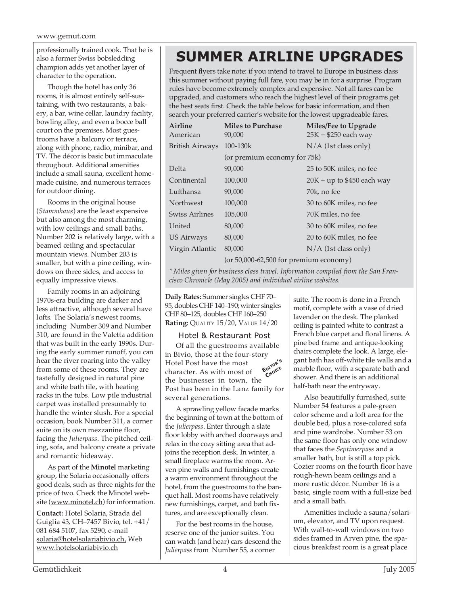also a former Swiss bobsledding champion adds yet another layer of character to the operation.

Though the hotel has only 36 rooms, it is almost entirely self-sustaining, with two restaurants, a bakery, a bar, wine cellar, laundry facility, bowling alley, and even a bocce ball court on the premises. Most guestrooms have a balcony or terrace, along with phone, radio, minibar, and TV. The décor is basic but immaculate throughout. Additional amenities include a small sauna, excellent homemade cuisine, and numerous terraces for outdoor dining.

Rooms in the original house (*Stammhaus*) are the least expensive but also among the most charming, with low ceilings and small baths. Number 202 is relatively large, with a beamed ceiling and spectacular mountain views. Number 203 is smaller, but with a pine ceiling, windows on three sides, and access to equally impressive views.

Family rooms in an adjoining 1970s-era building are darker and less attractive, although several have lofts. The Solaria's newest rooms, including Number 309 and Number 310, are found in the Valetta addition that was built in the early 1990s. During the early summer runoff, you can hear the river roaring into the valley from some of these rooms. They are tastefully designed in natural pine and white bath tile, with heating racks in the tubs. Low pile industrial carpet was installed presumably to handle the winter slush. For a special occasion, book Number 311, a corner suite on its own mezzanine floor, facing the *Julierpass*. The pitched ceiling, sofa, and balcony create a private and romantic hideaway.

As part of the **Minotel** marketing group, the Solaria occasionally offers good deals, such as three nights for the price of two. Check the Minotel website (www.minotel.ch) for information.

**Contact:** Hotel Solaria, Strada del Guiglia 43, CH–7457 Bivio, tel. +41/ 081 684 5107, fax 5290, e-mail solaria@hotelsolariabivio.ch, Web www.hotelsolariabivio.ch

## professionally trained cook. That he is **SUMMER AIRLINE UPGRADES**

Frequent flyers take note: if you intend to travel to Europe in business class this summer without paying full fare, you may be in for a surprise. Program rules have become extremely complex and expensive. Not all fares can be upgraded, and customers who reach the highest level of their programs get the best seats first. Check the table below for basic information, and then search your preferred carrier's website for the lowest upgradeable fares.

| <b>Airline</b><br>American | <b>Miles to Purchase</b><br>90,000       | Miles/Fee to Upgrade<br>$25K + $250$ each way |
|----------------------------|------------------------------------------|-----------------------------------------------|
| <b>British Airways</b>     | 100-130k                                 | $N/A$ (1st class only)                        |
|                            | (or premium economy for 75k)             |                                               |
| Delta                      | 90,000                                   | 25 to 50K miles, no fee                       |
| Continental                | 100,000                                  | $20K + up$ to \$450 each way                  |
| Lufthansa                  | 90,000                                   | 70k, no fee                                   |
| <b>Northwest</b>           | 100,000                                  | 30 to 60K miles, no fee                       |
| Swiss Airlines             | 105,000                                  | 70K miles, no fee                             |
| United                     | 80,000                                   | 30 to 60K miles, no fee                       |
| US Airways                 | 80,000                                   | 20 to 60K miles, no fee                       |
| Virgin Atlantic            | 80,000                                   | $N/A$ (1st class only)                        |
|                            | $(or 50,000-62,500 for premium economy)$ |                                               |

*\* Miles given for business class travel. Information compiled from the San Francisco Chronicle (May 2005) and individual airline websites.*

**Daily Rates:** Summer singles CHF 70– 95, doubles CHF 140–190; winter singles CHF 80–125, doubles CHF 160–250 **Rating:** QUALITY 15/20, VALUE 14/20

#### Hotel & Restaurant Post

Of all the guestrooms available in Bivio, those at the four-story Hotel Post have the most character. As with most of the businesses in town, the Post has been in the Lanz family for several generations. **EDITOR'<sup>S</sup> CHOICE**

A sprawling yellow facade marks the beginning of town at the bottom of the *Julierpass*. Enter through a slate floor lobby with arched doorways and relax in the cozy sitting area that adjoins the reception desk. In winter, a small fireplace warms the room. Arven pine walls and furnishings create a warm environment throughout the hotel, from the guestrooms to the banquet hall. Most rooms have relatively new furnishings, carpet, and bath fixtures, and are exceptionally clean.

For the best rooms in the house, reserve one of the junior suites. You can watch (and hear) cars descend the *Julierpass* from Number 55, a corner

suite. The room is done in a French motif, complete with a vase of dried lavender on the desk. The planked ceiling is painted white to contrast a French blue carpet and floral linens. A pine bed frame and antique-looking chairs complete the look. A large, elegant bath has off-white tile walls and a marble floor, with a separate bath and shower. And there is an additional half-bath near the entryway.

Also beautifully furnished, suite Number 54 features a pale-green color scheme and a loft area for the double bed, plus a rose-colored sofa and pine wardrobe. Number 53 on the same floor has only one window that faces the *Septimerpass* and a smaller bath, but is still a top pick. Cozier rooms on the fourth floor have rough-hewn beam ceilings and a more rustic décor. Number 16 is a basic, single room with a full-size bed and a small bath.

Amenities include a sauna/solarium, elevator, and TV upon request. With wall-to-wall windows on two sides framed in Arven pine, the spacious breakfast room is a great place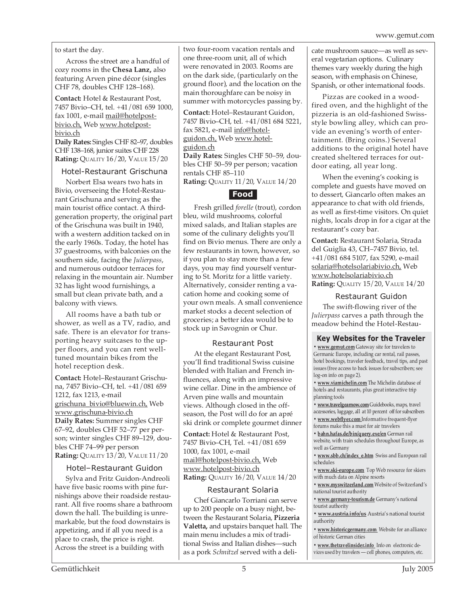to start the day.

Across the street are a handful of cozy rooms in the **Chesa Lanz,** also featuring Arven pine décor (singles CHF 78, doubles CHF 128–168).

**Contact:** Hotel & Restaurant Post, 7457 Bivio–CH, tel. +41/081 659 1000, fax 1001, e-mail mail@hotelpostbivio.ch, Web www.hotelpostbivio.ch **Daily Rates:** Singles CHF 82–97, doubles

CHF 138–168, junior suites CHF 228 **Rating:** QUALITY 16/20, VALUE 15/20

#### Hotel-Restaurant Grischuna

Norbert Elsa wears two hats in Bivio, overseeing the Hotel-Restaurant Grischuna and serving as the main tourist office contact. A thirdgeneration property, the original part of the Grischuna was built in 1940, with a western addition tacked on in the early 1960s. Today, the hotel has 37 guestrooms, with balconies on the southern side, facing the *Julierpass*, and numerous outdoor terraces for relaxing in the mountain air. Number 32 has light wood furnishings, a small but clean private bath, and a balcony with views.

All rooms have a bath tub or shower, as well as a TV, radio, and safe. There is an elevator for transporting heavy suitcases to the upper floors, and you can rent welltuned mountain bikes from the hotel reception desk.

**Contact:** Hotel–Restaurant Grischuna, 7457 Bivio–CH, tel. +41/081 659 1212, fax 1213, e-mail grischuna\_bivio@bluewin.ch, Web www.grischuna-bivio.ch **Daily Rates:** Summer singles CHF 67–92, doubles CHF 52–77 per person; winter singles CHF 89–129, doubles CHF 74–99 per person **Rating:** QUALITY 13/20, VALUE 11/20

#### Hotel–Restaurant Guidon

Sylva and Fritz Guidon-Andreoli have five basic rooms with pine furnishings above their roadside restaurant. All five rooms share a bathroom down the hall. The building is unremarkable, but the food downstairs is appetizing, and if all you need is a place to crash, the price is right. Across the street is a building with

two four-room vacation rentals and one three-room unit, all of which were renovated in 2003. Rooms are on the dark side, (particularly on the ground floor), and the location on the main thoroughfare can be noisy in summer with motorcycles passing by.

**Contact:** Hotel–Restaurant Guidon, 7457 Bivio–CH, tel. +41/081 684 5221, fax 5821, e-mail info@hotelguidon.ch, Web www.hotelguidon.ch

**Daily Rates:** Singles CHF 50–59, doubles CHF 50–59 per person; vacation rentals CHF 85–110

**Rating:** QUALITY 11/20, VALUE 14/20

#### **Food**

Fresh grilled *forelle* (trout), cordon bleu, wild mushrooms, colorful mixed salads, and Italian staples are some of the culinary delights you'll find on Bivio menus. There are only a few restaurants in town, however, so if you plan to stay more than a few days, you may find yourself venturing to St. Moritz for a little variety. Alternatively, consider renting a vacation home and cooking some of your own meals. A small convenience market stocks a decent selection of groceries; a better idea would be to stock up in Savognin or Chur.

#### Restaurant Post

At the elegant Restaurant Post, you'll find traditional Swiss cuisine blended with Italian and French influences, along with an impressive wine cellar. Dine in the ambience of Arven pine walls and mountain views. Although closed in the offseason, the Post will do for an apré ski drink or complete gourmet dinner

**Contact:** Hotel & Restaurant Post, 7457 Bivio–CH, Tel. +41/081 659 1000, fax 1001, e-mail mail@hotelpost-bivio.ch, Web www.hotelpost-bivio.ch **Rating:** QUALITY 16/20, VALUE 14/20

#### Restaurant Solaria

Chef Giancarlo Torriani can serve up to 200 people on a busy night, between the Restaurant Solaria, **Pizzeria Valetta,** and upstairs banquet hall. The main menu includes a mix of traditional Swiss and Italian dishes—such as a pork *Schnitzel* served with a delicate mushroom sauce—as well as several vegetarian options. Culinary themes vary weekly during the high season, with emphasis on Chinese, Spanish, or other international foods.

Pizzas are cooked in a woodfired oven, and the highlight of the pizzeria is an old-fashioned Swissstyle bowling alley, which can provide an evening's worth of entertainment. (Bring coins.) Several additions to the original hotel have created sheltered terraces for outdoor eating, all year long.

When the evening's cooking is complete and guests have moved on to dessert, Giancarlo often makes an appearance to chat with old friends, as well as first-time visitors. On quiet nights, locals drop in for a cigar at the restaurant's cozy bar.

**Contact:** Restaurant Solaria, Strada del Guiglia 43, CH–7457 Bivio, tel. +41/081 684 5107, fax 5290, e-mail solaria@hotelsolariabivio.ch, Web www.hotelsolariabivio.ch **Rating:** QUALITY 15/20, VALUE 14/20

#### Restaurant Guidon

The swift-flowing river of the *Julierpass* carves a path through the meadow behind the Hotel-Restau-

#### **Key Websites for the Traveler**

**• www.gemut.com** Gateway site for travelers to Germanic Europe, including car rental, rail passes, hotel bookings, traveler feedback, travel tips, and past issues (free access to back issues for subscribers; see log-on info on page 2).

**• www.viamichelin.com** The Michelin database of hotels and restaurants, plus great interactive trip planning tools

**• www.travelgearnow.com** Guidebooks, maps, travel accessories, luggage, all at 10 percent off for subscribers

**• www.webflyer.com** Informative frequent-flyer

forums make this a must for air travelers **• bahn.hafas.de/bin/query.exe/en** German rail website, with train schedules throughout Europe, as

- well as Germany
- **www.sbb.ch/index\_e.htm** Swiss and European rail schedules
- **www.ski-europe.com** Top Web resource for skiers with much data on Alpine resorts
- **www.myswitzerland.com** Website of Switzerland's national tourist authority
- **www.germany-tourism.de** Germany's national tourist authority
- **www.austria.info/us** Austria's national tourist authority
- **www.historicgermany.com** Website for an alliance of historic German cities

**• www.thetravelinsider.info** Info on electronic devices used by travelers — cell phones, computers, etc.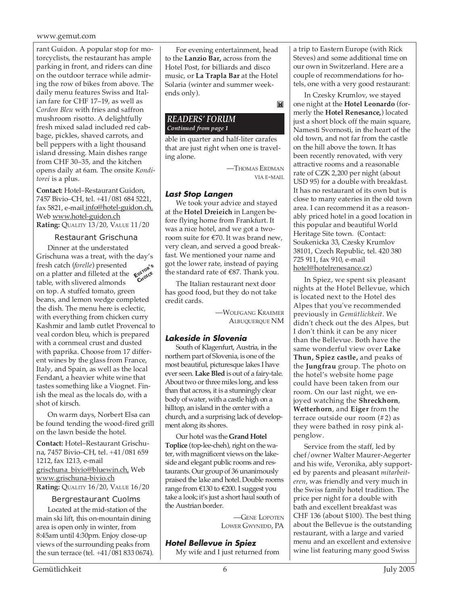#### www.gemut.com

rant Guidon. A popular stop for motorcyclists, the restaurant has ample parking in front, and riders can dine on the outdoor terrace while admiring the row of bikes from above. The daily menu features Swiss and Italian fare for CHF 17–19, as well as *Cordon Bleu* with fries and saffron mushroom risotto. A delightfully fresh mixed salad included red cabbage, pickles, shaved carrots, and bell peppers with a light thousand island dressing. Main dishes range from CHF 30–35, and the kitchen opens daily at 6am. The onsite *Konditorei* is a plus.

**Contact:** Hotel–Restaurant Guidon, 7457 Bivio–CH, tel. +41/081 684 5221, fax 5821, e-mail info@hotel-guidon.ch, Web www.hotel-guidon.ch **Rating:** QUALITY 13/20, VALUE 11/20

#### Restaurant Grischuna

Dinner at the understated Grischuna was a treat, with the day's fresh catch (*forelle*) presented on a platter and filleted at the **EDITOR'<sup>S</sup>** table, with slivered almonds on top. A stuffed tomato, green beans, and lemon wedge completed the dish. The menu here is eclectic, with everything from chicken curry Kashmir and lamb cutlet Provencal to veal cordon bleu, which is prepared with a cornmeal crust and dusted with paprika. Choose from 17 different wines by the glass from France, Italy, and Spain, as well as the local Fendant, a heavier white wine that tastes something like a Viognet. Finish the meal as the locals do, with a shot of kirsch. **CHOICE**

On warm days, Norbert Elsa can be found tending the wood-fired grill on the lawn beside the hotel.

**Contact:** Hotel–Restaurant Grischuna, 7457 Bivio–CH, tel. +41/081 659 1212, fax 1213, e-mail grischuna\_bivio@bluewin.ch, Web www.grischuna-bivio.ch **Rating:** QUALITY 16/20, VALUE 16/20

#### Bergrestaurant Cuolms

Located at the mid-station of the main ski lift, this on-mountain dining area is open only in winter, from 8:45am until 4:30pm. Enjoy close-up views of the surrounding peaks from the sun terrace (tel. +41/081 833 0674).

For evening entertainment, head to the **Lanzio Bar,** across from the Hotel Post, for billiards and disco music, or **La Trapla Bar** at the Hotel Solaria (winter and summer weekends only).

M

#### *READERS' FORUM Continued from page 1*

able in quarter and half-liter carafes that are just right when one is traveling alone.

> —THOMAS ERDMAN VIA E-MAIL

#### **Last Stop Langen**

We took your advice and stayed at the **Hotel Dreieich** in Langen before flying home from Frankfurt. It was a nice hotel, and we got a tworoom suite for €70. It was brand new, very clean, and served a good breakfast. We mentioned your name and got the lower rate, instead of paying the standard rate of €87. Thank you.

The Italian restaurant next door has good food, but they do not take credit cards.

> —WOLFGANG KRAEMER ALBUQUERQUE NM

#### **Lakeside in Slovenia**

South of Klagenfurt, Austria, in the northern part of Slovenia, is one of the most beautiful, picturesque lakes I have ever seen. **Lake Bled** is out of a fairy-tale. About two or three miles long, and less than that across, it is a stunningly clear body of water, with a castle high on a hilltop, an island in the center with a church, and a surprising lack of development along its shores.

Our hotel was the **Grand Hotel Toplice** (top-lee-cheh), right on the water, with magnificent views on the lakeside and elegant public rooms and restaurants. Our group of 36 unanimously praised the lake and hotel. Double rooms range from €130 to €200. I suggest you take a look; it's just a short haul south of the Austrian border.

> —GENE LOPOTEN LOWER GWYNEDD, PA

#### **Hotel Bellevue in Spiez**

My wife and I just returned from

a trip to Eastern Europe (with Rick Steves) and some additional time on our own in Switzerland. Here are a couple of recommendations for hotels, one with a very good restaurant:

In Czesky Krumlov, we stayed one night at the **Hotel Leonardo** (formerly the **Hotel Renesance,**) located just a short block off the main square, Namesti Svornosti, in the heart of the old town, and not far from the castle on the hill above the town. It has been recently renovated, with very attractive rooms and a reasonable rate of CZK 2,200 per night (about USD 95) for a double with breakfast. It has no restaurant of its own but is close to many eateries in the old town area. I can recommend it as a reasonably priced hotel in a good location in this popular and beautiful World Heritage Site town. (Contact: Soukenicka 33, Czesky Krumlov 38101, Czech Republic, tel. 420 380 725 911, fax 910, e-mail hotel@hotelrenesance.cz)

In Spiez, we spent six pleasant nights at the Hotel Bellevue, which is located next to the Hotel des Alpes that you've recommended previously in *Gemütlichkeit*. We didn't check out the des Alpes, but I don't think it can be any nicer than the Bellevue. Both have the same wonderful view over **Lake Thun, Spiez castle,** and peaks of the **Jungfrau** group. The photo on the hotel's website home page could have been taken from our room. On our last night, we enjoyed watching the **Shreckhorn**, **Wetterhorn**, and **Eiger** from the terrace outside our room (#2) as they were bathed in rosy pink alpenglow.

Service from the staff, led by chef/owner Walter Maurer-Aegerter and his wife, Veronika, ably supported by parents and pleasant *mitarbeiteren*, was friendly and very much in the Swiss family hotel tradition. The price per night for a double with bath and excellent breakfast was CHF 136 (about \$100). The best thing about the Bellevue is the outstanding restaurant, with a large and varied menu and an excellent and extensive wine list featuring many good Swiss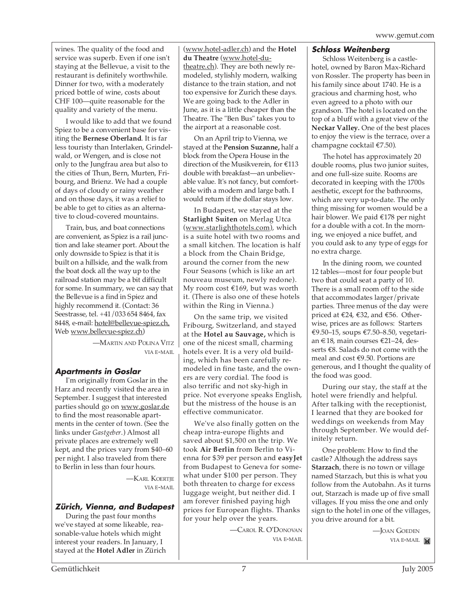wines. The quality of the food and service was superb. Even if one isn't staying at the Bellevue, a visit to the restaurant is definitely worthwhile. Dinner for two, with a moderately priced bottle of wine, costs about CHF 100—quite reasonable for the quality and variety of the menu.

I would like to add that we found Spiez to be a convenient base for visiting the **Bernese Oberland**. It is far less touristy than Interlaken, Grindelwald, or Wengen, and is close not only to the Jungfrau area but also to the cities of Thun, Bern, Murten, Fribourg, and Brienz. We had a couple of days of cloudy or rainy weather and on those days, it was a relief to be able to get to cities as an alternative to cloud-covered mountains.

Train, bus, and boat connections are convenient, as Spiez is a rail junction and lake steamer port. About the only downside to Spiez is that it is built on a hillside, and the walk from the boat dock all the way up to the railroad station may be a bit difficult for some. In summary, we can say that the Bellevue is a find in Spiez and highly recommend it. (Contact: 36 Seestrasse, tel. +41/033 654 8464, fax 8448, e-mail: hotel@bellevue-spiez.ch, Web www.bellevue-spiez.ch)

> —MARTIN AND POLINA VITZ VIA E-MAIL

#### **Apartments in Goslar**

I'm originally from Goslar in the Harz and recently visited the area in September. I suggest that interested parties should go on www.goslar.de to find the most reasonable apartments in the center of town. (See the links under *Gastgeber*.) Almost all private places are extremely well kept, and the prices vary from \$40–60 per night. I also traveled from there to Berlin in less than four hours.

> —KARL KOERTIE VIA E-MAIL

#### **Zürich, Vienna, and Budapest**

During the past four months we've stayed at some likeable, reasonable-value hotels which might interest your readers. In January, I stayed at the **Hotel Adler** in Zürich (www.hotel-adler.ch) and the **Hotel du Theatre** (www.hotel-dutheatre.ch). They are both newly remodeled, stylishly modern, walking distance to the train station, and not too expensive for Zurich these days. We are going back to the Adler in June, as it is a little cheaper than the Theatre. The "Ben Bus" takes you to the airport at a reasonable cost.

On an April trip to Vienna, we stayed at the **Pension Suzanne,** half a block from the Opera House in the direction of the Musikverein, for €113 double with breakfast—an unbelievable value. It's not fancy, but comfortable with a modern and large bath. I would return if the dollar stays low.

In Budapest, we stayed at the **Starlight Suiten** on Merlag Utca (www.starlighthotels.com), which is a suite hotel with two rooms and a small kitchen. The location is half a block from the Chain Bridge, around the corner from the new Four Seasons (which is like an art nouveau museum, newly redone). My room cost €169, but was worth it. (There is also one of these hotels within the Ring in Vienna.)

On the same trip, we visited Fribourg, Switzerland, and stayed at the **Hotel au Sauvage,** which is one of the nicest small, charming hotels ever. It is a very old building, which has been carefully remodeled in fine taste, and the owners are very cordial. The food is also terrific and not sky-high in price. Not everyone speaks English, but the mistress of the house is an effective communicator.

We've also finally gotten on the cheap intra-europe flights and saved about \$1,500 on the trip. We took **Air Berlin** from Berlin to Vienna for \$39 per person and **easyJet** from Budapest to Geneva for somewhat under \$100 per person. They both threaten to charge for excess luggage weight, but neither did. I am forever finished paying high prices for European flights. Thanks for your help over the years.

> —CAROL R. O'DONOVAN VIA E-MAIL

#### **Schloss Weitenberg**

Schloss Weitenberg is a castlehotel, owned by Baron Max-Richard von Rossler. The property has been in his family since about 1740. He is a gracious and charming host, who even agreed to a photo with our grandson. The hotel is located on the top of a bluff with a great view of the **Neckar Valley.** One of the best places to enjoy the view is the terrace, over a champagne cocktail €7.50).

The hotel has approximately 20 double rooms, plus two junior suites, and one full-size suite. Rooms are decorated in keeping with the 1700s aesthetic, except for the bathrooms, which are very up-to-date. The only thing missing for women would be a hair blower. We paid €178 per night for a double with a cot. In the morning, we enjoyed a nice buffet, and you could ask to any type of eggs for no extra charge.

In the dining room, we counted 12 tables—most for four people but two that could seat a party of 10. There is a small room off to the side that accommodates larger/private parties. Three menus of the day were priced at €24, €32, and €56. Otherwise, prices are as follows: Starters €9.50–15, soups €7.50–8.50, vegetarian €18, main courses €21–24, desserts €8. Salads do not come with the meal and cost €9.50. Portions are generous, and I thought the quality of the food was good.

During our stay, the staff at the hotel were friendly and helpful. After talking with the receptionist, I learned that they are booked for weddings on weekends from May through September. We would definitely return.

One problem: How to find the castle? Although the address says **Starzach**, there is no town or village named Starzach, but this is what you follow from the Autobahn. As it turns out, Starzach is made up of five small villages. If you miss the one and only sign to the hotel in one of the villages, you drive around for a bit.

> —JOAN GOEDEN VIA E-MAIL